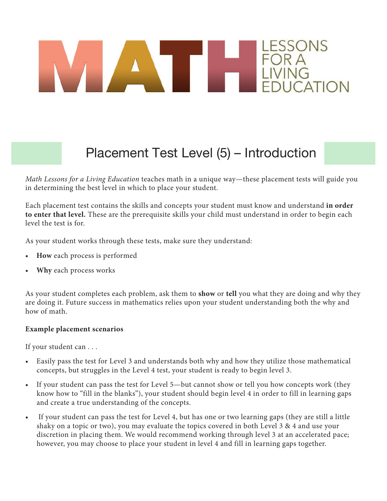# ESSONS

#### Placement Test Level (5) – Introduction

*Math Lessons for a Living Education* teaches math in a unique way—these placement tests will guide you in determining the best level in which to place your student.

Each placement test contains the skills and concepts your student must know and understand **in order to enter that level.** These are the prerequisite skills your child must understand in order to begin each level the test is for.

As your student works through these tests, make sure they understand:

- **How** each process is performed
- **Why** each process works

As your student completes each problem, ask them to **show** or **tell** you what they are doing and why they are doing it. Future success in mathematics relies upon your student understanding both the why and how of math.

#### **Example placement scenarios**

If your student can . . .

- Easily pass the test for Level 3 and understands both why and how they utilize those mathematical concepts, but struggles in the Level 4 test, your student is ready to begin level 3.
- If your student can pass the test for Level 5—but cannot show or tell you how concepts work (they know how to "fill in the blanks"), your student should begin level 4 in order to fill in learning gaps and create a true understanding of the concepts.
- If your student can pass the test for Level 4, but has one or two learning gaps (they are still a little shaky on a topic or two), you may evaluate the topics covered in both Level 3 & 4 and use your discretion in placing them. We would recommend working through level 3 at an accelerated pace; however, you may choose to place your student in level 4 and fill in learning gaps together.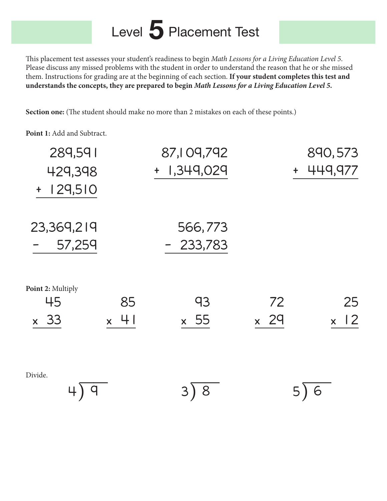## Level 5 Placement Test

This placement test assesses your student's readiness to begin Math Lessons for a Living Education Level 5. Please discuss any missed problems with the student in order to understand the reason that he or she missed them. Instructions for grading are at the beginning of each section. **If your student completes this test and understands the concepts, they are prepared to begin** *Math Lessons for a Living Education Level 5.*

**Section one:** (The student should make no more than 2 mistakes on each of these points.)

**Point 1:** Add and Subtract.

| 289,591               | 87,109,792  |                    | 890,573                          |  |  |  |
|-----------------------|-------------|--------------------|----------------------------------|--|--|--|
| 429,398               | + 1,349,029 | $+$                | 449,977                          |  |  |  |
| 129,510<br>$\ddagger$ |             |                    |                                  |  |  |  |
| 23,369,219            | 566,773     |                    |                                  |  |  |  |
| 57,259                | 233,783     |                    |                                  |  |  |  |
| Point 2: Multiply     |             |                    |                                  |  |  |  |
| 45<br>85              | 93          | 72                 | 25                               |  |  |  |
| $\times$ 33<br>$x$ 41 | $\times$ 55 | 29<br>$\mathsf{X}$ | $\overline{2}$<br>$\mathsf{X}^+$ |  |  |  |
| Divide.               |             |                    |                                  |  |  |  |
|                       |             | 8                  |                                  |  |  |  |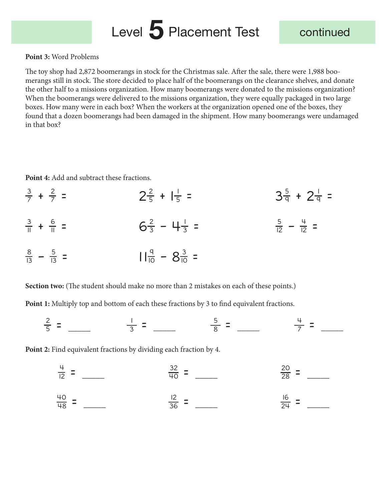## Level 5 Placement Test continued

#### **Point 3:** Word Problems

The toy shop had 2,872 boomerangs in stock for the Christmas sale. After the sale, there were 1,988 boomerangs still in stock. The store decided to place half of the boomerangs on the clearance shelves, and donate the other half to a missions organization. How many boomerangs were donated to the missions organization? When the boomerangs were delivered to the missions organization, they were equally packaged in two large boxes. How many were in each box? When the workers at the organization opened one of the boxes, they found that a dozen boomerangs had been damaged in the shipment. How many boomerangs were undamaged in that box?

Point 4: Add and subtract these fractions.

$$
\frac{3}{7} + \frac{2}{7} = 2\frac{2}{5} + | \frac{1}{5} = 3\frac{5}{9} + 2\frac{1}{9} = \frac{3}{12} + \frac{6}{11} = \frac{3}{13} - \frac{5}{13} = 1\frac{9}{11} - 8\frac{3}{10} = \frac{11}{11} - 8\frac{3}{10} = \frac{11}{11} - 8\frac{3}{10} = \frac{11}{11} - 8\frac{3}{10} = \frac{11}{11} - 8\frac{3}{10} = \frac{11}{11} - 8\frac{3}{10} = \frac{11}{11} - 8\frac{3}{10} = \frac{11}{11} - 8\frac{3}{10} = \frac{11}{11} - 8\frac{3}{10} = \frac{11}{11} - 8\frac{3}{10} = \frac{11}{11} - 8\frac{3}{10} = \frac{11}{11} - 8\frac{3}{10} = \frac{11}{11} - 8\frac{3}{10} = \frac{11}{11} - 8\frac{3}{10} = \frac{11}{11} - 8\frac{3}{10} = \frac{11}{11} - 8\frac{3}{10} = \frac{11}{11} - 8\frac{3}{10} = \frac{11}{11} - 8\frac{3}{10} = \frac{11}{11} - 8\frac{3}{10} = \frac{11}{11} - 8\frac{3}{10} = \frac{11}{11} - 8\frac{3}{10} = \frac{11}{11} - 8\frac{3}{10} = \frac{11}{11} - 8\frac{3}{10} = \frac{11}{11} - 8\frac{3}{10} = \frac{11}{11} - 8\frac{3}{10} = \frac{11}{11} - 8\frac{3}{10} = \frac{11}{11} - 8\frac{3}{10} = \frac{11}{11} - 8\frac{3}{10} = \frac{11}{11} - 8\frac{3}{10} = \frac{11}{11} - 8\frac{3}{10} = \frac{11}{11} - 8\frac{3}{10} = \frac{11}{11} - 8\frac{3}{
$$

**Section two:** (The student should make no more than 2 mistakes on each of these points.)

Point 1: Multiply top and bottom of each these fractions by 3 to find equivalent fractions.

$$
\frac{2}{5} = \frac{1}{3} = \frac{5}{3} = \frac{5}{8} = \frac{4}{7} = \frac{1}{1}
$$

**Point 2:** Find equivalent fractions by dividing each fraction by 4.

$$
\frac{4}{12} = \frac{32}{40} = \frac{20}{28} = \frac{20}{28} = \frac{20}{24} = \frac{16}{24} = \frac{16}{24} = \frac{16}{24} = \frac{16}{24} = \frac{16}{24} = \frac{16}{24} = \frac{16}{24} = \frac{16}{24} = \frac{16}{24} = \frac{16}{24} = \frac{16}{24} = \frac{16}{24} = \frac{16}{24} = \frac{16}{24} = \frac{16}{24} = \frac{16}{24} = \frac{16}{24} = \frac{16}{24} = \frac{16}{24} = \frac{16}{24} = \frac{16}{24} = \frac{16}{24} = \frac{16}{24} = \frac{16}{24} = \frac{16}{24} = \frac{16}{24} = \frac{16}{24} = \frac{16}{24} = \frac{16}{24} = \frac{16}{24} = \frac{16}{24} = \frac{16}{24} = \frac{16}{24} = \frac{16}{24} = \frac{16}{24} = \frac{16}{24} = \frac{16}{24} = \frac{16}{24} = \frac{16}{24} = \frac{16}{24} = \frac{16}{24} = \frac{16}{24} = \frac{16}{24} = \frac{16}{24} = \frac{16}{24} = \frac{16}{24} = \frac{16}{24} = \frac{16}{24} = \frac{16}{24} = \frac{16}{24} = \frac{16}{24} = \frac{16}{24} = \frac{16}{24} = \frac{16}{24} = \frac{16}{24} = \frac{16}{24} = \frac{16}{24} = \frac{16}{24} = \frac{16}{24} = \frac{16}{24} = \frac{16}{24} = \frac{16}{24} = \frac{16}{24} = \frac{16}{24} = \frac{16}{24} = \frac{16}{24} = \frac{16}{24} = \frac{16}{24} = \frac{16}{24} = \frac{16}{24} = \frac{16}{24} = \
$$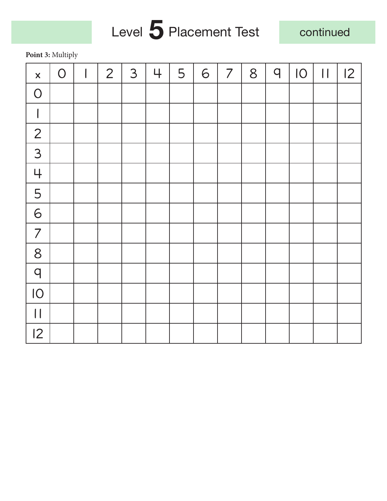# Level 5 Placement Test

continued

**Point 3:** Multiply

| $\boldsymbol{\mathsf{X}}$ | $\bigcirc$ | $\overline{\phantom{a}}$ | $\overline{2}$ | 3 | 4 | 5 | 6 | $\overline{7}$ | 8 | $\mathsf{q}$ | IO | $\begin{array}{c} \hline \end{array}$ | 12 |
|---------------------------|------------|--------------------------|----------------|---|---|---|---|----------------|---|--------------|----|---------------------------------------|----|
| $\overline{O}$            |            |                          |                |   |   |   |   |                |   |              |    |                                       |    |
|                           |            |                          |                |   |   |   |   |                |   |              |    |                                       |    |
| $\overline{2}$            |            |                          |                |   |   |   |   |                |   |              |    |                                       |    |
| 3                         |            |                          |                |   |   |   |   |                |   |              |    |                                       |    |
| 4                         |            |                          |                |   |   |   |   |                |   |              |    |                                       |    |
| 5                         |            |                          |                |   |   |   |   |                |   |              |    |                                       |    |
| 6                         |            |                          |                |   |   |   |   |                |   |              |    |                                       |    |
| $\overline{7}$            |            |                          |                |   |   |   |   |                |   |              |    |                                       |    |
| 8                         |            |                          |                |   |   |   |   |                |   |              |    |                                       |    |
| $\overline{q}$            |            |                          |                |   |   |   |   |                |   |              |    |                                       |    |
| IO                        |            |                          |                |   |   |   |   |                |   |              |    |                                       |    |
| $\mathbf{I}$              |            |                          |                |   |   |   |   |                |   |              |    |                                       |    |
| 12                        |            |                          |                |   |   |   |   |                |   |              |    |                                       |    |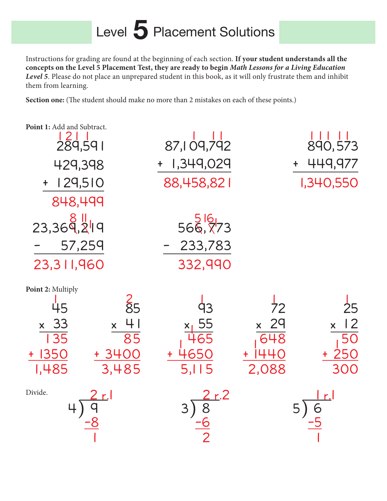#### Level 5 Placement Solutions

Instructions for grading are found at the beginning of each section. **If your student understands all the concepts on the Level 5 Placement Test, they are ready to begin** *Math Lessons for a Living Education Level 5*. Please do not place an unprepared student in this book, as it will only frustrate them and inhibit them from learning.

Section one: (The student should make no more than 2 mistakes on each of these points.)

| Point 1: Add and Subtract.<br>$\frac{121}{289,591}$                                                                                                                    | 87,109,792                        | 890,573                                                                                    |
|------------------------------------------------------------------------------------------------------------------------------------------------------------------------|-----------------------------------|--------------------------------------------------------------------------------------------|
| 429,398                                                                                                                                                                | 1,349,029                         | 449,977                                                                                    |
| 129,510                                                                                                                                                                | 88,458,821                        | 1,340,550                                                                                  |
| 848,499                                                                                                                                                                |                                   |                                                                                            |
| 23,369,249<br>57,259<br>23,311,960                                                                                                                                     | 566, 773<br>$-233,783$<br>332,990 |                                                                                            |
| Point 2: Multiply<br>$rac{2}{85}$<br>45<br>4 <sub>1</sub><br>$\times$ 33<br>$\mathsf{X}^{\scriptscriptstyle\top}$<br>85<br>135<br>$+ 1350$<br>+ 3400<br>3,485<br>1,485 | 4650<br>5.115                     | $\overline{72}$<br>25<br>12<br>29<br>$\mathsf{X}^+$<br>$\mathsf{X}$<br>648<br>2,088<br>300 |
| Divide.                                                                                                                                                                |                                   |                                                                                            |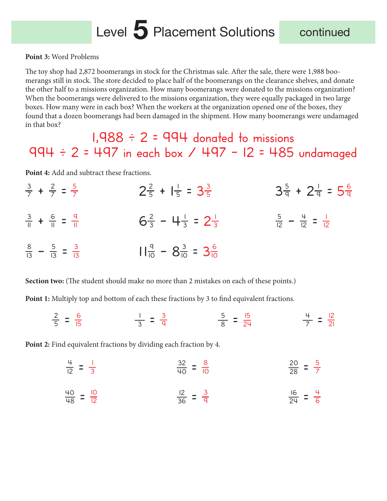#### Level 5 Placement Solutions continued

**Point 3:** Word Problems

The toy shop had 2,872 boomerangs in stock for the Christmas sale. After the sale, there were 1,988 boomerangs still in stock. The store decided to place half of the boomerangs on the clearance shelves, and donate the other half to a missions organization. How many boomerangs were donated to the missions organization? When the boomerangs were delivered to the missions organization, they were equally packaged in two large boxes. How many were in each box? When the workers at the organization opened one of the boxes, they found that a dozen boomerangs had been damaged in the shipment. How many boomerangs were undamaged in that box?

#### $1,988 \div 2 = 994$  donated to missions  $994 \div 2 = 497$  in each box /  $497 - 12 = 485$  undamaged

Point 4: Add and subtract these fractions.

 $\frac{3}{7} + \frac{2}{7} = \frac{5}{7}$  $\frac{5}{7}$   $2\frac{2}{5} + 1\frac{1}{5} = 3\frac{3}{5}$  $rac{3}{5}$   $3\frac{5}{9} + 2\frac{1}{9} = 5\frac{6}{9}$  $\frac{3}{11} + \frac{6}{11} = \frac{9}{11}$  $\frac{9}{11}$  6<sup>2</sup>/<sub>3</sub> - 4<sup>1</sup>/<sub>3</sub> = 2<sup>1</sup>/<sub>3</sub>  $\frac{1}{3}$   $\frac{5}{12} - \frac{4}{12} = \frac{1}{12}$ 12  $\frac{8}{13} - \frac{5}{13} = \frac{3}{13}$  $11\frac{9}{10} - 8\frac{3}{10} = 3\frac{6}{10}$ 

**Section two:** (The student should make no more than 2 mistakes on each of these points.)

**Point 1:** Multiply top and bottom of each these fractions by 3 to find equivalent fractions.

 $\frac{2}{5} = \frac{6}{15}$ 15  $\frac{1}{3}$  =  $\frac{3}{9}$ 9  $\frac{5}{8}$  =  $\frac{15}{24}$  $\frac{4}{7}$  =  $\frac{12}{21}$ 21

**Point 2:** Find equivalent fractions by dividing each fraction by 4.

$$
\frac{4}{12} = \frac{1}{3}
$$
 
$$
\frac{32}{40} = \frac{8}{10}
$$
 
$$
\frac{20}{28} = \frac{5}{7}
$$

$$
\frac{40}{48} = \frac{10}{12}
$$
 
$$
\frac{12}{36} = \frac{3}{9}
$$
 
$$
\frac{16}{24} = \frac{4}{6}
$$